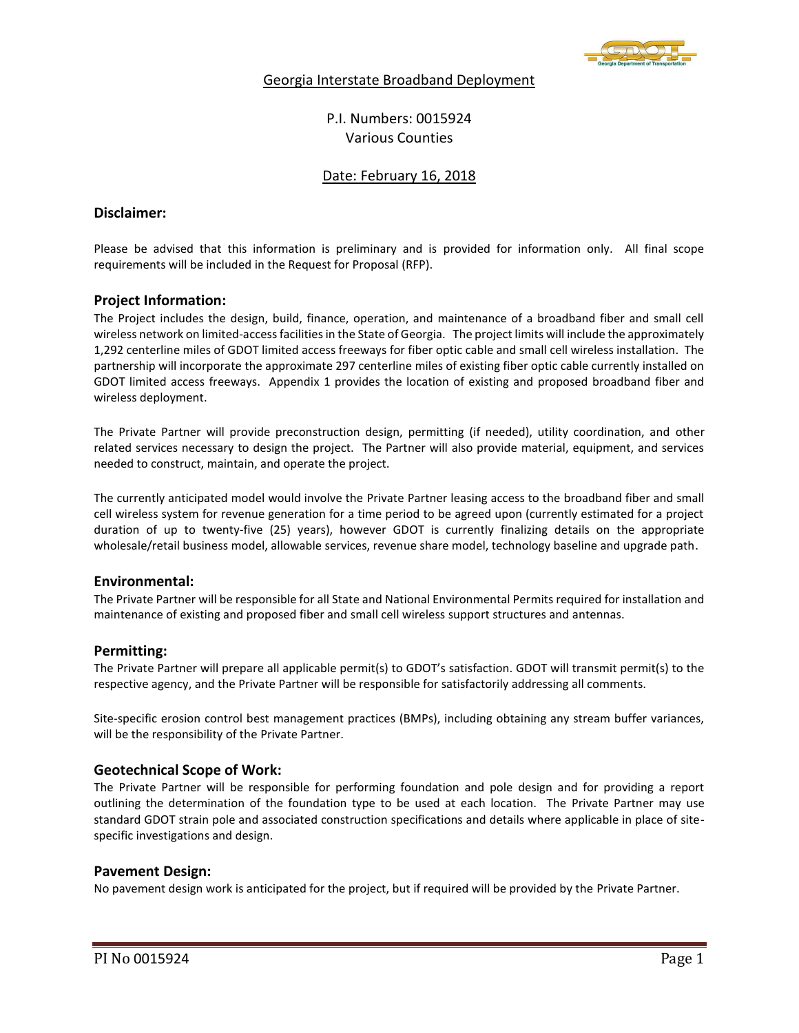

# Georgia Interstate Broadband Deployment

P.I. Numbers: 0015924 Various Counties

# Date: February 16, 2018

# **Disclaimer:**

Please be advised that this information is preliminary and is provided for information only. All final scope requirements will be included in the Request for Proposal (RFP).

# **Project Information:**

The Project includes the design, build, finance, operation, and maintenance of a broadband fiber and small cell wireless network on limited-access facilities in the State of Georgia. The project limits will include the approximately 1,292 centerline miles of GDOT limited access freeways for fiber optic cable and small cell wireless installation. The partnership will incorporate the approximate 297 centerline miles of existing fiber optic cable currently installed on GDOT limited access freeways. Appendix 1 provides the location of existing and proposed broadband fiber and wireless deployment.

The Private Partner will provide preconstruction design, permitting (if needed), utility coordination, and other related services necessary to design the project. The Partner will also provide material, equipment, and services needed to construct, maintain, and operate the project.

The currently anticipated model would involve the Private Partner leasing access to the broadband fiber and small cell wireless system for revenue generation for a time period to be agreed upon (currently estimated for a project duration of up to twenty-five (25) years), however GDOT is currently finalizing details on the appropriate wholesale/retail business model, allowable services, revenue share model, technology baseline and upgrade path.

# **Environmental:**

The Private Partner will be responsible for all State and National Environmental Permits required for installation and maintenance of existing and proposed fiber and small cell wireless support structures and antennas.

# **Permitting:**

The Private Partner will prepare all applicable permit(s) to GDOT's satisfaction. GDOT will transmit permit(s) to the respective agency, and the Private Partner will be responsible for satisfactorily addressing all comments.

Site-specific erosion control best management practices (BMPs), including obtaining any stream buffer variances, will be the responsibility of the Private Partner.

# **Geotechnical Scope of Work:**

The Private Partner will be responsible for performing foundation and pole design and for providing a report outlining the determination of the foundation type to be used at each location. The Private Partner may use standard GDOT strain pole and associated construction specifications and details where applicable in place of sitespecific investigations and design.

# **Pavement Design:**

No pavement design work is anticipated for the project, but if required will be provided by the Private Partner.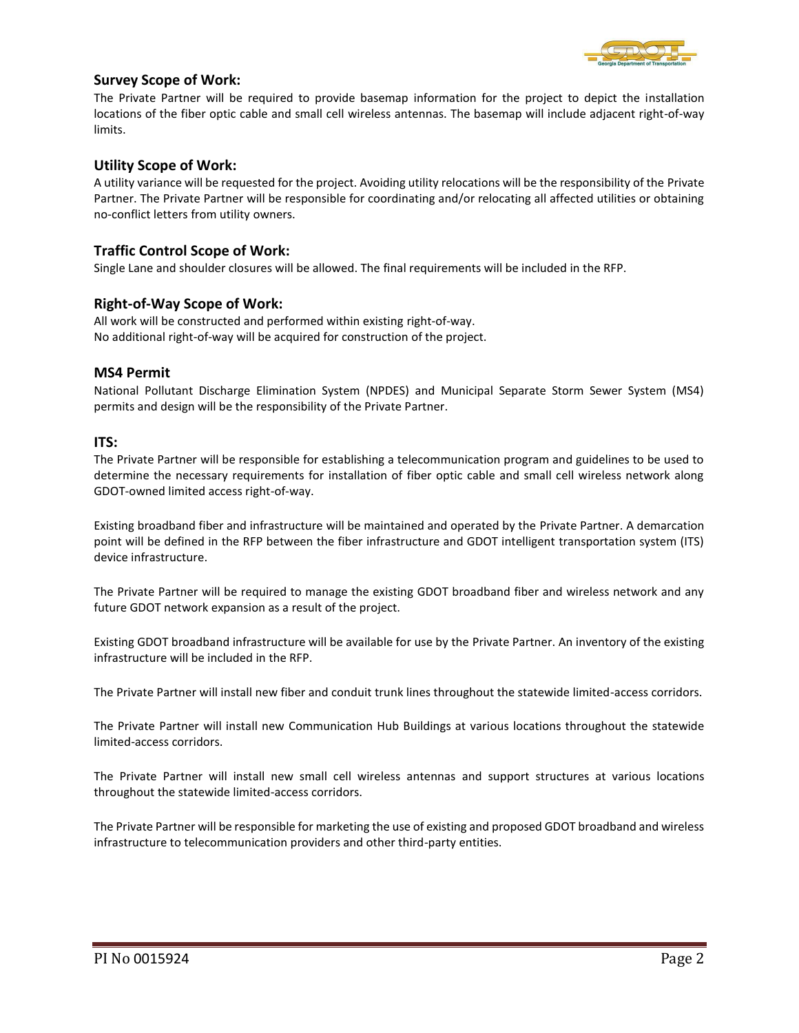

# **Survey Scope of Work:**

The Private Partner will be required to provide basemap information for the project to depict the installation locations of the fiber optic cable and small cell wireless antennas. The basemap will include adjacent right-of-way limits.

# **Utility Scope of Work:**

A utility variance will be requested for the project. Avoiding utility relocations will be the responsibility of the Private Partner. The Private Partner will be responsible for coordinating and/or relocating all affected utilities or obtaining no-conflict letters from utility owners.

# **Traffic Control Scope of Work:**

Single Lane and shoulder closures will be allowed. The final requirements will be included in the RFP.

#### **Right-of-Way Scope of Work:**

All work will be constructed and performed within existing right-of-way. No additional right-of-way will be acquired for construction of the project.

#### **MS4 Permit**

National Pollutant Discharge Elimination System (NPDES) and Municipal Separate Storm Sewer System (MS4) permits and design will be the responsibility of the Private Partner.

#### **ITS:**

The Private Partner will be responsible for establishing a telecommunication program and guidelines to be used to determine the necessary requirements for installation of fiber optic cable and small cell wireless network along GDOT-owned limited access right-of-way.

Existing broadband fiber and infrastructure will be maintained and operated by the Private Partner. A demarcation point will be defined in the RFP between the fiber infrastructure and GDOT intelligent transportation system (ITS) device infrastructure.

The Private Partner will be required to manage the existing GDOT broadband fiber and wireless network and any future GDOT network expansion as a result of the project.

Existing GDOT broadband infrastructure will be available for use by the Private Partner. An inventory of the existing infrastructure will be included in the RFP.

The Private Partner will install new fiber and conduit trunk lines throughout the statewide limited-access corridors.

The Private Partner will install new Communication Hub Buildings at various locations throughout the statewide limited-access corridors.

The Private Partner will install new small cell wireless antennas and support structures at various locations throughout the statewide limited-access corridors.

The Private Partner will be responsible for marketing the use of existing and proposed GDOT broadband and wireless infrastructure to telecommunication providers and other third-party entities.